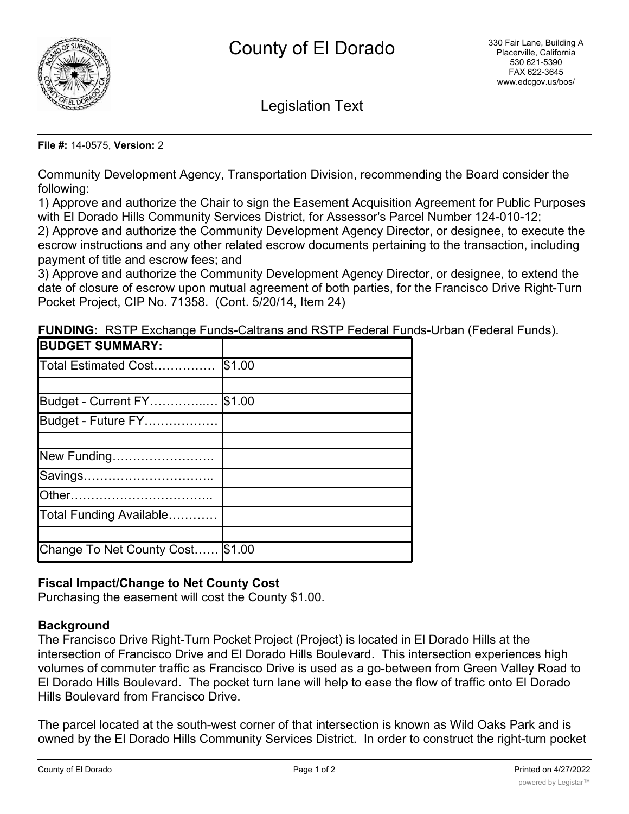

Legislation Text

### **File #:** 14-0575, **Version:** 2

Community Development Agency, Transportation Division, recommending the Board consider the following:

1) Approve and authorize the Chair to sign the Easement Acquisition Agreement for Public Purposes with El Dorado Hills Community Services District, for Assessor's Parcel Number 124-010-12;

2) Approve and authorize the Community Development Agency Director, or designee, to execute the escrow instructions and any other related escrow documents pertaining to the transaction, including payment of title and escrow fees; and

3) Approve and authorize the Community Development Agency Director, or designee, to extend the date of closure of escrow upon mutual agreement of both parties, for the Francisco Drive Right-Turn Pocket Project, CIP No. 71358. (Cont. 5/20/14, Item 24)

| <b>BUDGET SUMMARY:</b>           |        |
|----------------------------------|--------|
| Total Estimated Cost             | \$1.00 |
|                                  |        |
| Budget - Current FY              | \$1.00 |
| Budget - Future FY               |        |
|                                  |        |
| New Funding                      |        |
| Savings                          |        |
|                                  |        |
| Total Funding Available          |        |
|                                  |        |
| Change To Net County Cost \$1.00 |        |

**FUNDING:** RSTP Exchange Funds-Caltrans and RSTP Federal Funds-Urban (Federal Funds).

# **Fiscal Impact/Change to Net County Cost**

Purchasing the easement will cost the County \$1.00.

# **Background**

The Francisco Drive Right-Turn Pocket Project (Project) is located in El Dorado Hills at the intersection of Francisco Drive and El Dorado Hills Boulevard. This intersection experiences high volumes of commuter traffic as Francisco Drive is used as a go-between from Green Valley Road to El Dorado Hills Boulevard. The pocket turn lane will help to ease the flow of traffic onto El Dorado Hills Boulevard from Francisco Drive.

The parcel located at the south-west corner of that intersection is known as Wild Oaks Park and is owned by the El Dorado Hills Community Services District. In order to construct the right-turn pocket